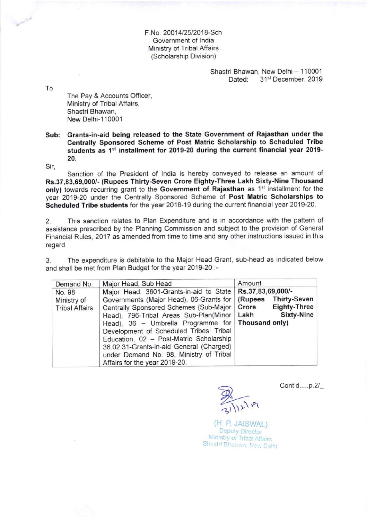F.No. 20014/25/2018-Sch Government of lndia Ministry of Tribal Affairs (Scholarship Division)

> Shastri Bhawan, New Delhi - 110001<br>Dated: 31<sup>st</sup> December, 2019 31st December, 2019

To

The Pay & Accounts Officer, Ministry of Tribal Affairs, Shastri Bhawan, New Delhi-110001

## Sub: Grants-in-aid being released to the State Government of Rajasthan under the Centrally Sponsored Scheme of Post Matric Scholarship to Scheduled Tribe students as 1<sup>st</sup> installment for 2019-20 during the current financial year 2019-20.

Sir,

Sanction of the President of lndia is hereby conveyed to release an amount of Rs.37,83,69,000/- (Rupees Thirty-Seven Crore Eighty-Three Lakh Sixty-Nine Thousand only) towards recurring grant to the Government of Rajasthan as 1<sup>st</sup> installment for the year 2019-20 under the Centrally Sponsored Scheme of Post Matric Scholarships to Scheduled Tribe students for the year 2018-19 during the current financial year 2019-20.

2. This sanction relates to Plan Expenditure and is in accordance with the pattern of assistance prescribed by the Planning Commission and subject to the proviston of General Financial Rules, 2017 as amended from time to time and any other instructions issued in this regard.

3. The expenditure is debitable to the Major Head Grant, sub-head as indicated below and shall be met from Plan Budget for the year 2019-20 :-

| Demand No.                                     | Major Head, Sub Head                                                                                                                                                                                                                                                                                                                                                                                                                        | Amount                                                                                                    |
|------------------------------------------------|---------------------------------------------------------------------------------------------------------------------------------------------------------------------------------------------------------------------------------------------------------------------------------------------------------------------------------------------------------------------------------------------------------------------------------------------|-----------------------------------------------------------------------------------------------------------|
| No. 98<br>Ministry of<br><b>Tribal Affairs</b> | Major Head: 3601-Grants-in-aid to State<br>Governments (Major Head), 06-Grants for<br>Centrally Sponsored Schemes (Sub-Major<br>Head), 796-Tribal Areas Sub-Plan(Minor<br>Head), 36 - Umbrella Programme for   Thousand only)<br>Development of Scheduled Tribes: Tribal<br>Education, 02 - Post-Matric Scholarship<br>36.02.31-Grants-in-aid General (Charged)<br>under Demand No. 98, Ministry of Tribal<br>Affairs for the year 2019-20. | Rs.37,83,69,000/-<br><b>Thirty-Seven</b><br>(Rupees<br><b>Eighty-Three</b><br>Crore<br>Sixty-Nine<br>Lakh |

31/12/19

Cont'd.....p.2/\_

(H. P. JAISWAL)

**Deputy Director** Ministry of Tribal Affairs Shastri Bhawan, New Delhi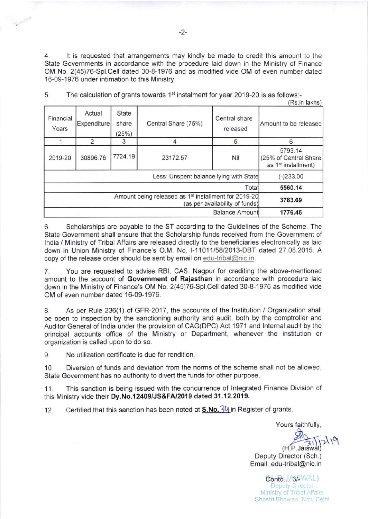4. ll is requested that arrangements may kindly be made to credit this amount to the State Governments in accordance with the procedure laid down in the Ministry of Finance OM No. 2(45)76-Spl.Cell dated 30-8-1976 and as modified vide OM of even number dated 16-09-1976 under intimation to this Ministry.

|                                                                                                    |                              |                         |                     |                           | (Rs.in lakhs)                                                       |
|----------------------------------------------------------------------------------------------------|------------------------------|-------------------------|---------------------|---------------------------|---------------------------------------------------------------------|
| Financial<br>Years                                                                                 | Actual<br><b>Expenditure</b> | State<br>share<br>(25%) | Central Share (75%) | Central share<br>released | Amount to be released                                               |
|                                                                                                    | 2                            |                         |                     | 5                         | 6                                                                   |
| 2019-20                                                                                            | 30896.76                     | 7724.19                 | 23172.57            | Nil                       | 5793.14<br>(25% of Central Share<br>as 1 <sup>st</sup> installment) |
| Less: Unspent balance lying with State                                                             |                              |                         |                     |                           | $(-)233.00$                                                         |
| Total                                                                                              |                              |                         |                     |                           | 5560.14                                                             |
| Amount being released as 1 <sup>st</sup> installment for 2019-20<br>(as per availability of funds) |                              |                         |                     |                           | 3783.69                                                             |
| <b>Balance Amount</b>                                                                              |                              |                         |                     |                           | 1776.45                                                             |

5. The calculation of grants towards  $1<sup>st</sup>$  instalment for year 2019-20 is as follows:-

6. Scholarships are payable to the ST according to the Guidelines of the Scheme. The State Government shall ensure that the Scholarship funds received from the Government of India / Ministry of Tribal Affairs are released directly to the beneficiaries electronically as laid down in Union Ministry of Finance's O.M. No l-1 101 1/58/2013-DBT dated 27.08.2015. A copy of the release order should be sent by email on edu-tribal@nic.in.

7. You are requested to advise RBl, CAS, Nagpur for crediting the above-mentioned amount to the account of Government of Rajasthan in accordance with procedure laid down in the Ministry of Finance's OM No. 2(45)76-Spl.Cell dated 30-8-1976 as modified vide OM of even number dated 16-09-1976.

8. As per Rule 236(1) of GFR-2017, the accounts of the lnstitution / Organization shall be open to inspection by the sanctioning authority and audit, both by the comptroller and Auditor General of lndia under the provision of CAG(DPC) Act 1971 and lnternal audit by the principal accounts office of the Ministry or Department, whenever the institution or organization is called upon to do so.

9. No utilization certificate is due for rendition.

10 Diversion of funds and deviation from the norms of the scheme shall not be allowed. State Government has no authority to divert the funds for other purpose.

11. This sanction is being issued with the concurrence of lntegrated Finance Division of this Ministry vide their Dy.No.12409/JS&FA/2019 dated 31.12.2019.

12. Certified that this sanction has been noted at  $S.No.3V$  in Register of grants.

Yours faithfully,  $(H.P.)$ aiswa Deputy Director (Sch. ) Email: edu-tribal@nic.in  $\sqrt{2}$ 

Contd.JA3/BWAL)<br>Deputy Director Ministry of Tribal Affairs Shastri Bhawan, New Delhi

**Contract Contract Contract Contract Contract Contract Contract Contract Contract Contract Contract Contract Contract Contract Contract Contract Contract Contract Contract Contract Contract Contract Contract Contract Contr**